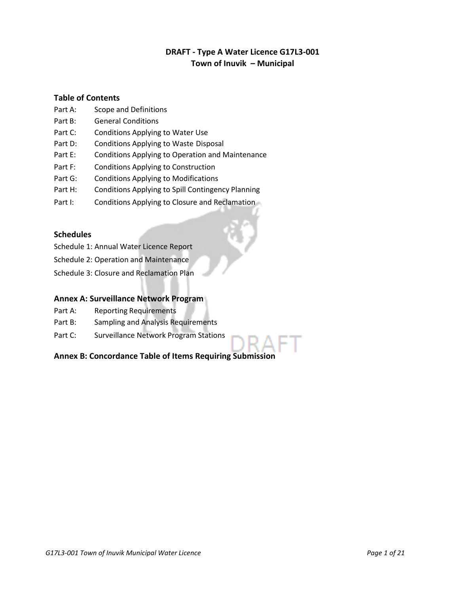# **DRAFT - Type A Water Licence G17L3-001 Town of Inuvik – Municipal**

## **Table of Contents**

- Part A: Scope and Definitions
- Part B: General Conditions
- Part C: Conditions Applying to Water Use
- Part D: Conditions Applying to Waste Disposal
- Part E: Conditions Applying to Operation and Maintenance
- Part F: Conditions Applying to Construction
- Part G: Conditions Applying to Modifications
- Part H: Conditions Applying to Spill Contingency Planning
- Part I: Conditions Applying to Closure and Reclamation

# **Schedules**

- Schedule 1: Annual Water Licence Report
- Schedule 2: Operation and Maintenance
- Schedule 3: Closure and Reclamation Plan

## **Annex A: Surveillance Network Program**

- Part A: Reporting Requirements
- Part B: Sampling and Analysis Requirements
- Part C: Surveillance Network Program Stations

# **Annex B: Concordance Table of Items Requiring Submission**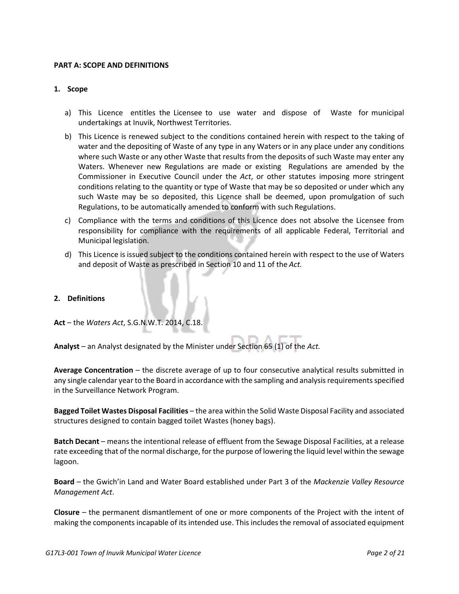#### **PART A: SCOPE AND DEFINITIONS**

#### **1. Scope**

- a) This Licence entitles the Licensee to use water and dispose of Waste for municipal undertakings at Inuvik, Northwest Territories.
- b) This Licence is renewed subject to the conditions contained herein with respect to the taking of water and the depositing of Waste of any type in any Waters or in any place under any conditions where such Waste or any other Waste that results from the deposits of such Waste may enter any Waters. Whenever new Regulations are made or existing Regulations are amended by the Commissioner in Executive Council under the *Act*, or other statutes imposing more stringent conditions relating to the quantity or type of Waste that may be so deposited or under which any such Waste may be so deposited, this Licence shall be deemed, upon promulgation of such Regulations, to be automatically amended to conform with such Regulations.
- c) Compliance with the terms and conditions of this Licence does not absolve the Licensee from responsibility for compliance with the requirements of all applicable Federal, Territorial and Municipal legislation.
- d) This Licence is issued subject to the conditions contained herein with respect to the use of Waters and deposit of Waste as prescribed in Section 10 and 11 of the *Act.*

#### **2. Definitions**

**Act** – the *Waters Act*, S.G.N.W.T. 2014, C.18.

**Analyst** – an Analyst designated by the Minister under Section 65 (1) of the *Act.*

**Average Concentration** – the discrete average of up to four consecutive analytical results submitted in any single calendar year to the Board in accordance with the sampling and analysis requirements specified in the Surveillance Network Program.

**Bagged Toilet Wastes Disposal Facilities** – the area within the Solid Waste Disposal Facility and associated structures designed to contain bagged toilet Wastes (honey bags).

**Batch Decant** – means the intentional release of effluent from the Sewage Disposal Facilities, at a release rate exceeding that of the normal discharge, for the purpose of lowering the liquid level within the sewage lagoon.

**Board** – the Gwich'in Land and Water Board established under Part 3 of the *Mackenzie Valley Resource Management Act*.

**Closure** – the permanent dismantlement of one or more components of the Project with the intent of making the components incapable of its intended use. This includes the removal of associated equipment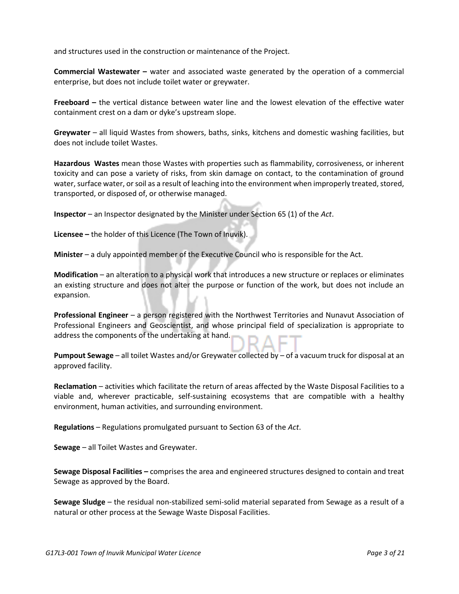and structures used in the construction or maintenance of the Project.

**Commercial Wastewater –** water and associated waste generated by the operation of a commercial enterprise, but does not include toilet water or greywater.

**Freeboard –** the vertical distance between water line and the lowest elevation of the effective water containment crest on a dam or dyke's upstream slope.

**Greywater** – all liquid Wastes from showers, baths, sinks, kitchens and domestic washing facilities, but does not include toilet Wastes.

**Hazardous Wastes** mean those Wastes with properties such as flammability, corrosiveness, or inherent toxicity and can pose a variety of risks, from skin damage on contact, to the contamination of ground water, surface water, or soil as a result of leaching into the environment when improperly treated, stored, transported, or disposed of, or otherwise managed.

**Inspector** – an Inspector designated by the Minister under Section 65 (1) of the *Act*.

**Licensee –** the holder of this Licence (The Town of Inuvik).

**Minister** – a duly appointed member of the Executive Council who is responsible for the Act.

**Modification** – an alteration to a physical work that introduces a new structure or replaces or eliminates an existing structure and does not alter the purpose or function of the work, but does not include an expansion.

**Professional Engineer** – a person registered with the Northwest Territories and Nunavut Association of Professional Engineers and Geoscientist, and whose principal field of specialization is appropriate to address the components of the undertaking at hand.

**Pumpout Sewage** – all toilet Wastes and/or Greywater collected by – of a vacuum truck for disposal at an approved facility.

**Reclamation** – activities which facilitate the return of areas affected by the Waste Disposal Facilities to a viable and, wherever practicable, self-sustaining ecosystems that are compatible with a healthy environment, human activities, and surrounding environment.

**Regulations** – Regulations promulgated pursuant to Section 63 of the *Act*.

**Sewage** – all Toilet Wastes and Greywater.

**Sewage Disposal Facilities –** comprises the area and engineered structures designed to contain and treat Sewage as approved by the Board.

**Sewage Sludge** – the residual non-stabilized semi-solid material separated from Sewage as a result of a natural or other process at the Sewage Waste Disposal Facilities.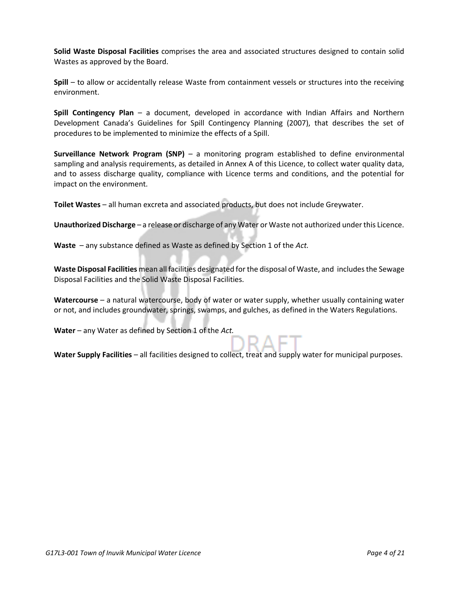**Solid Waste Disposal Facilities** comprises the area and associated structures designed to contain solid Wastes as approved by the Board.

**Spill** – to allow or accidentally release Waste from containment vessels or structures into the receiving environment.

**Spill Contingency Plan** – a document, developed in accordance with Indian Affairs and Northern Development Canada's Guidelines for Spill Contingency Planning (2007), that describes the set of procedures to be implemented to minimize the effects of a Spill.

**Surveillance Network Program (SNP)** – a monitoring program established to define environmental sampling and analysis requirements, as detailed in Annex A of this Licence, to collect water quality data, and to assess discharge quality, compliance with Licence terms and conditions, and the potential for impact on the environment.

**Toilet Wastes** – all human excreta and associated products, but does not include Greywater.

**Unauthorized Discharge** – a release or discharge of any Water or Waste not authorized under this Licence.

**Waste** – any substance defined as Waste as defined by Section 1 of the *Act.*

**Waste Disposal Facilities** mean all facilities designated for the disposal of Waste, and includes the Sewage Disposal Facilities and the Solid Waste Disposal Facilities.

**Watercourse** – a natural watercourse, body of water or water supply, whether usually containing water or not, and includes groundwater, springs, swamps, and gulches, as defined in the Waters Regulations.

**Water** – any Water as defined by Section 1 of the *Act.* 

**Water Supply Facilities** – all facilities designed to collect, treat and supply water for municipal purposes.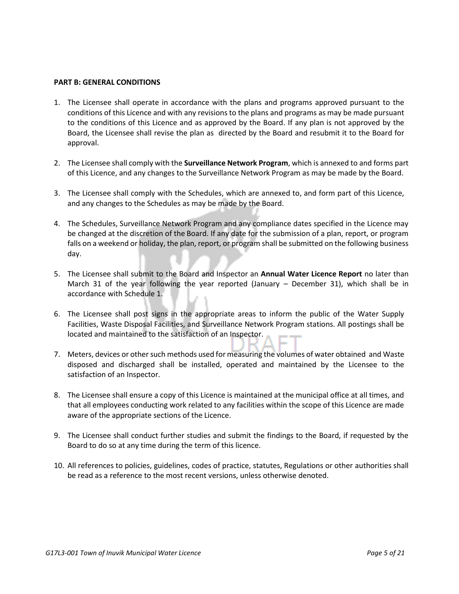#### **PART B: GENERAL CONDITIONS**

- 1. The Licensee shall operate in accordance with the plans and programs approved pursuant to the conditions of this Licence and with any revisions to the plans and programs as may be made pursuant to the conditions of this Licence and as approved by the Board. If any plan is not approved by the Board, the Licensee shall revise the plan as directed by the Board and resubmit it to the Board for approval.
- 2. The Licensee shall comply with the **Surveillance Network Program**, which is annexed to and forms part of this Licence, and any changes to the Surveillance Network Program as may be made by the Board.
- 3. The Licensee shall comply with the Schedules, which are annexed to, and form part of this Licence, and any changes to the Schedules as may be made by the Board.
- 4. The Schedules, Surveillance Network Program and any compliance dates specified in the Licence may be changed at the discretion of the Board. If any date for the submission of a plan, report, or program falls on a weekend or holiday, the plan, report, or program shall be submitted on the following business day.
- 5. The Licensee shall submit to the Board and Inspector an **Annual Water Licence Report** no later than March 31 of the year following the year reported (January – December 31), which shall be in accordance with Schedule 1.
- 6. The Licensee shall post signs in the appropriate areas to inform the public of the Water Supply Facilities, Waste Disposal Facilities, and Surveillance Network Program stations. All postings shall be located and maintained to the satisfaction of an Inspector.
- 7. Meters, devices or other such methods used for measuring the volumes of water obtained and Waste disposed and discharged shall be installed, operated and maintained by the Licensee to the satisfaction of an Inspector.
- 8. The Licensee shall ensure a copy of this Licence is maintained at the municipal office at all times, and that all employees conducting work related to any facilities within the scope of this Licence are made aware of the appropriate sections of the Licence.
- 9. The Licensee shall conduct further studies and submit the findings to the Board, if requested by the Board to do so at any time during the term of this licence.
- 10. All references to policies, guidelines, codes of practice, statutes, Regulations or other authorities shall be read as a reference to the most recent versions, unless otherwise denoted.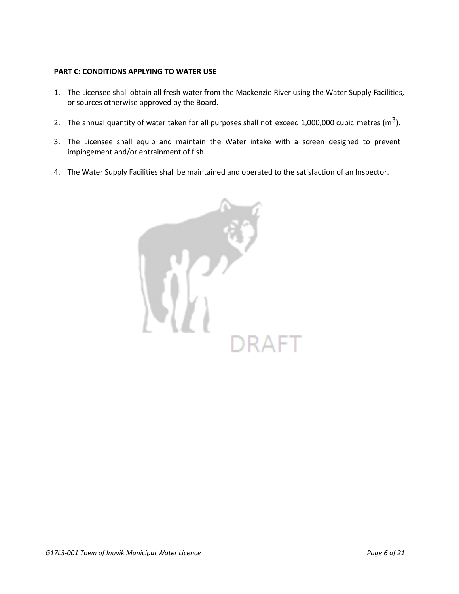### **PART C: CONDITIONS APPLYING TO WATER USE**

- 1. The Licensee shall obtain all fresh water from the Mackenzie River using the Water Supply Facilities, or sources otherwise approved by the Board.
- 2. The annual quantity of water taken for all purposes shall not exceed 1,000,000 cubic metres ( $m<sup>3</sup>$ ).
- 3. The Licensee shall equip and maintain the Water intake with a screen designed to prevent impingement and/or entrainment of fish.
- 4. The Water Supply Facilities shall be maintained and operated to the satisfaction of an Inspector.

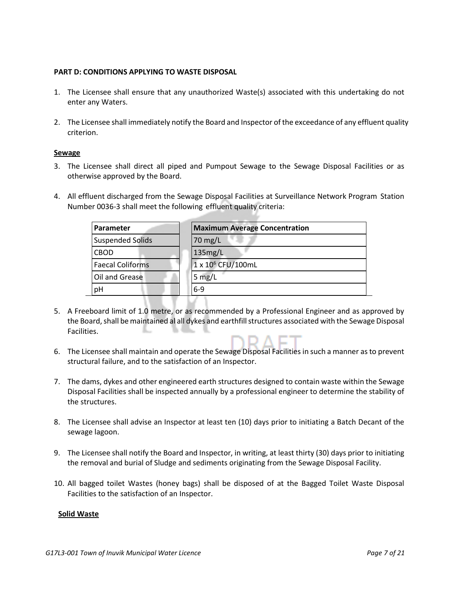#### **PART D: CONDITIONS APPLYING TO WASTE DISPOSAL**

- 1. The Licensee shall ensure that any unauthorized Waste(s) associated with this undertaking do not enter any Waters.
- 2. The Licensee shall immediately notify the Board and Inspector of the exceedance of any effluent quality criterion.

#### **Sewage**

- 3. The Licensee shall direct all piped and Pumpout Sewage to the Sewage Disposal Facilities or as otherwise approved by the Board.
- 4. All effluent discharged from the Sewage Disposal Facilities at Surveillance Network Program Station Number 0036-3 shall meet the following effluent quality criteria:

| Parameter               | <b>Maximum Average Concentration</b> |
|-------------------------|--------------------------------------|
| <b>Suspended Solids</b> | $70$ mg/L                            |
| <b>CBOD</b>             | 135mg/L                              |
| <b>Faecal Coliforms</b> | 1 x 10 <sup>6</sup> CFU/100mL        |
| Oil and Grease          | 5 $mg/L$                             |
| pH                      | $6-9$                                |

- 5. A Freeboard limit of 1.0 metre, or as recommended by a Professional Engineer and as approved by the Board, shall be maintained al all dykes and earthfill structures associated with the Sewage Disposal Facilities.
- 6. The Licensee shall maintain and operate the Sewage Disposal Facilities in such a manner as to prevent structural failure, and to the satisfaction of an Inspector.
- 7. The dams, dykes and other engineered earth structures designed to contain waste within the Sewage Disposal Facilities shall be inspected annually by a professional engineer to determine the stability of the structures.
- 8. The Licensee shall advise an Inspector at least ten (10) days prior to initiating a Batch Decant of the sewage lagoon.
- 9. The Licensee shall notify the Board and Inspector, in writing, at least thirty (30) days prior to initiating the removal and burial of Sludge and sediments originating from the Sewage Disposal Facility.
- 10. All bagged toilet Wastes (honey bags) shall be disposed of at the Bagged Toilet Waste Disposal Facilities to the satisfaction of an Inspector.

#### **Solid Waste**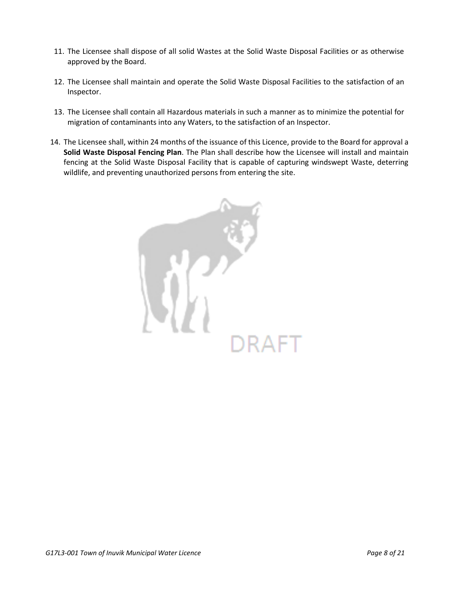- 11. The Licensee shall dispose of all solid Wastes at the Solid Waste Disposal Facilities or as otherwise approved by the Board.
- 12. The Licensee shall maintain and operate the Solid Waste Disposal Facilities to the satisfaction of an Inspector.
- 13. The Licensee shall contain all Hazardous materials in such a manner as to minimize the potential for migration of contaminants into any Waters, to the satisfaction of an Inspector.
- 14. The Licensee shall, within 24 months of the issuance of this Licence, provide to the Board for approval a **Solid Waste Disposal Fencing Plan**. The Plan shall describe how the Licensee will install and maintain fencing at the Solid Waste Disposal Facility that is capable of capturing windswept Waste, deterring wildlife, and preventing unauthorized persons from entering the site.

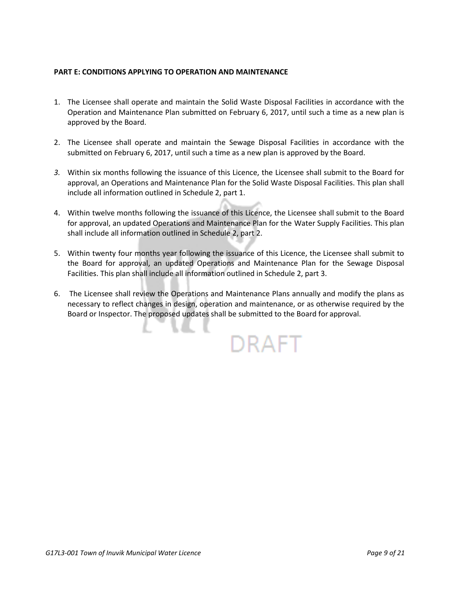# **PART E: CONDITIONS APPLYING TO OPERATION AND MAINTENANCE**

- 1. The Licensee shall operate and maintain the Solid Waste Disposal Facilities in accordance with the Operation and Maintenance Plan submitted on February 6, 2017, until such a time as a new plan is approved by the Board.
- 2. The Licensee shall operate and maintain the Sewage Disposal Facilities in accordance with the submitted on February 6, 2017, until such a time as a new plan is approved by the Board.
- *3.* Within six months following the issuance of this Licence, the Licensee shall submit to the Board for approval, an Operations and Maintenance Plan for the Solid Waste Disposal Facilities. This plan shall include all information outlined in Schedule 2, part 1.
- 4. Within twelve months following the issuance of this Licence, the Licensee shall submit to the Board for approval, an updated Operations and Maintenance Plan for the Water Supply Facilities. This plan shall include all information outlined in Schedule 2, part 2.
- 5. Within twenty four months year following the issuance of this Licence, the Licensee shall submit to the Board for approval, an updated Operations and Maintenance Plan for the Sewage Disposal Facilities. This plan shall include all information outlined in Schedule 2, part 3.
- 6. The Licensee shall review the Operations and Maintenance Plans annually and modify the plans as necessary to reflect changes in design, operation and maintenance, or as otherwise required by the Board or Inspector. The proposed updates shall be submitted to the Board for approval.

DRAFT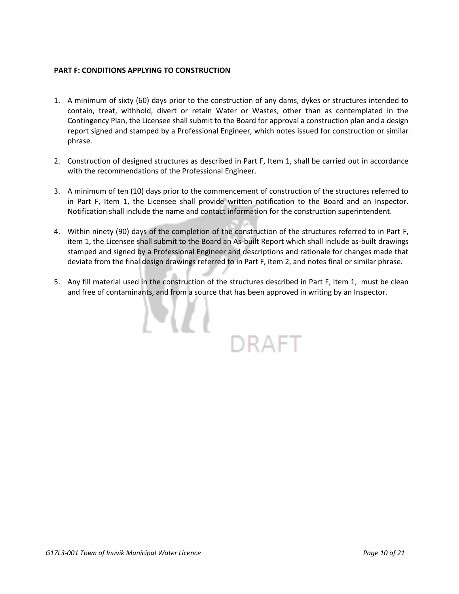# **PART F: CONDITIONS APPLYING TO CONSTRUCTION**

- 1. A minimum of sixty (60) days prior to the construction of any dams, dykes or structures intended to contain, treat, withhold, divert or retain Water or Wastes, other than as contemplated in the Contingency Plan, the Licensee shall submit to the Board for approval a construction plan and a design report signed and stamped by a Professional Engineer, which notes issued for construction or similar phrase.
- 2. Construction of designed structures as described in Part F, Item 1, shall be carried out in accordance with the recommendations of the Professional Engineer.
- 3. A minimum of ten (10) days prior to the commencement of construction of the structures referred to in Part F, Item 1, the Licensee shall provide written notification to the Board and an Inspector. Notification shall include the name and contact information for the construction superintendent.
- 4. Within ninety (90) days of the completion of the construction of the structures referred to in Part F, item 1, the Licensee shall submit to the Board an As-built Report which shall include as-built drawings stamped and signed by a Professional Engineer and descriptions and rationale for changes made that deviate from the final design drawings referred to in Part F, item 2, and notes final or similar phrase.
- 5. Any fill material used in the construction of the structures described in Part F, Item 1, must be clean and free of contaminants, and from a source that has been approved in writing by an Inspector.

DRAFT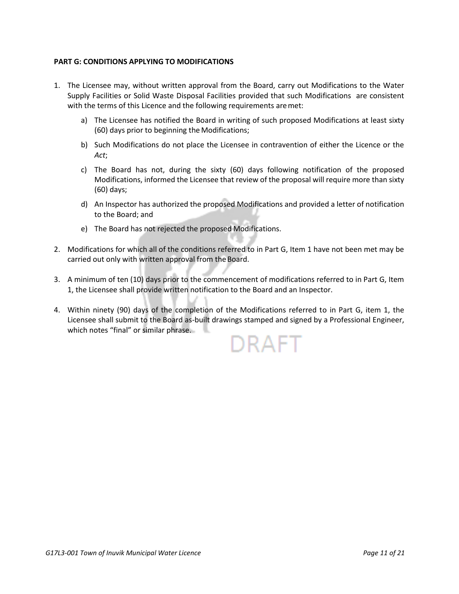## **PART G: CONDITIONS APPLYING TO MODIFICATIONS**

- 1. The Licensee may, without written approval from the Board, carry out Modifications to the Water Supply Facilities or Solid Waste Disposal Facilities provided that such Modifications are consistent with the terms of this Licence and the following requirements are met:
	- a) The Licensee has notified the Board in writing of such proposed Modifications at least sixty (60) days prior to beginning theModifications;
	- b) Such Modifications do not place the Licensee in contravention of either the Licence or the *Act*;
	- c) The Board has not, during the sixty (60) days following notification of the proposed Modifications, informed the Licensee that review of the proposal will require more than sixty (60) days;
	- d) An Inspector has authorized the proposed Modifications and provided a letter of notification to the Board; and
	- e) The Board has not rejected the proposed Modifications.
- 2. Modifications for which all of the conditions referred to in Part G, Item 1 have not been met may be carried out only with written approval from the Board.
- 3. A minimum of ten (10) days prior to the commencement of modifications referred to in Part G, Item 1, the Licensee shall provide written notification to the Board and an Inspector.
- 4. Within ninety (90) days of the completion of the Modifications referred to in Part G, item 1, the Licensee shall submit to the Board as-built drawings stamped and signed by a Professional Engineer, which notes "final" or similar phrase.

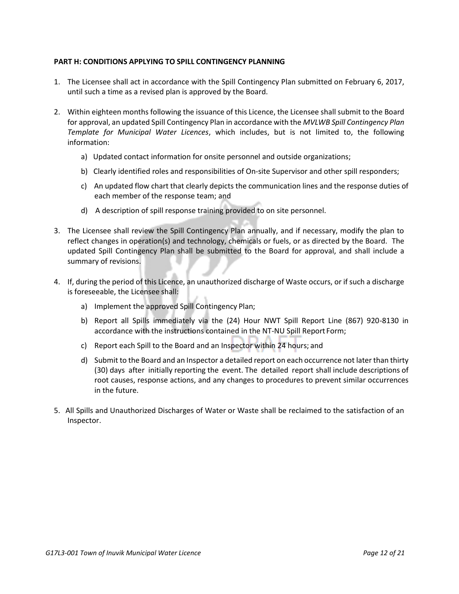## **PART H: CONDITIONS APPLYING TO SPILL CONTINGENCY PLANNING**

- 1. The Licensee shall act in accordance with the Spill Contingency Plan submitted on February 6, 2017, until such a time as a revised plan is approved by the Board.
- 2. Within eighteen months following the issuance of this Licence, the Licensee shall submit to the Board for approval, an updated Spill Contingency Plan in accordance with the *MVLWB Spill Contingency Plan Template for Municipal Water Licences*, which includes, but is not limited to, the following information:
	- a) Updated contact information for onsite personnel and outside organizations;
	- b) Clearly identified roles and responsibilities of On-site Supervisor and other spill responders;
	- c) An updated flow chart that clearly depicts the communication lines and the response duties of each member of the response team; and
	- d) A description of spill response training provided to on site personnel.
- 3. The Licensee shall review the Spill Contingency Plan annually, and if necessary, modify the plan to reflect changes in operation(s) and technology, chemicals or fuels, or as directed by the Board. The updated Spill Contingency Plan shall be submitted to the Board for approval, and shall include a summary of revisions.
- 4. If, during the period of this Licence, an unauthorized discharge of Waste occurs, or if such a discharge is foreseeable, the Licensee shall:
	- a) Implement the approved Spill Contingency Plan;
	- b) Report all Spills immediately via the (24) Hour NWT Spill Report Line (867) 920-8130 in accordance with the instructions contained in the NT-NU Spill Report Form;
	- c) Report each Spill to the Board and an Inspector within 24 hours; and
	- d) Submit to the Board and an Inspector a detailed report on each occurrence not later than thirty (30) days after initially reporting the event. The detailed report shall include descriptions of root causes, response actions, and any changes to procedures to prevent similar occurrences in the future.
- 5. All Spills and Unauthorized Discharges of Water or Waste shall be reclaimed to the satisfaction of an Inspector.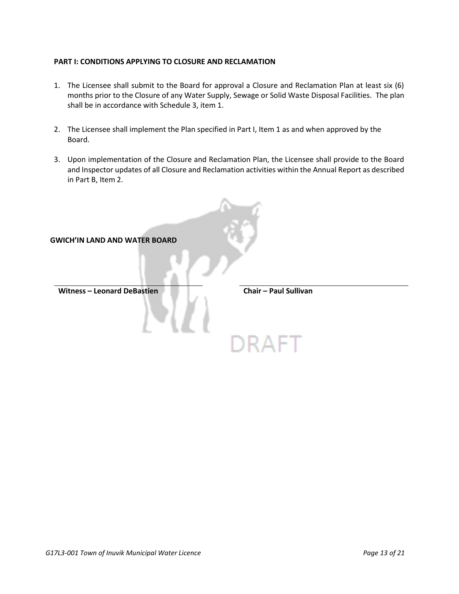### **PART I: CONDITIONS APPLYING TO CLOSURE AND RECLAMATION**

- 1. The Licensee shall submit to the Board for approval a Closure and Reclamation Plan at least six (6) months prior to the Closure of any Water Supply, Sewage or Solid Waste Disposal Facilities. The plan shall be in accordance with Schedule 3, item 1.
- 2. The Licensee shall implement the Plan specified in Part I, Item 1 as and when approved by the Board.
- 3. Upon implementation of the Closure and Reclamation Plan, the Licensee shall provide to the Board and Inspector updates of all Closure and Reclamation activities within the Annual Report as described in Part B, Item 2.

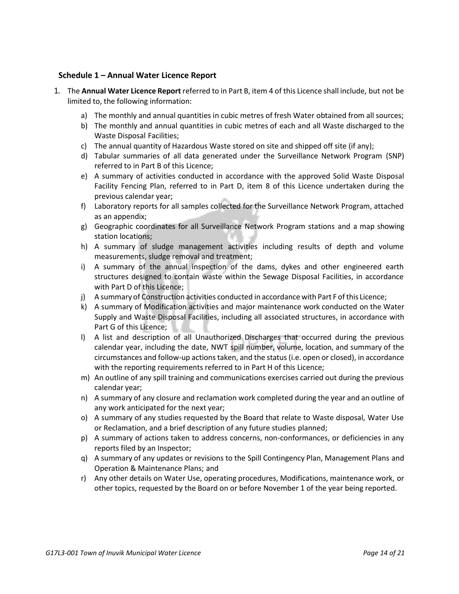## **Schedule 1 – Annual Water Licence Report**

- 1. The **Annual Water Licence Report** referred to in Part B, item 4 of this Licence shall include, but not be limited to, the following information:
	- a) The monthly and annual quantities in cubic metres of fresh Water obtained from all sources;
	- b) The monthly and annual quantities in cubic metres of each and all Waste discharged to the Waste Disposal Facilities;
	- c) The annual quantity of Hazardous Waste stored on site and shipped off site (if any);
	- d) Tabular summaries of all data generated under the Surveillance Network Program (SNP) referred to in Part B of this Licence;
	- e) A summary of activities conducted in accordance with the approved Solid Waste Disposal Facility Fencing Plan, referred to in Part D, item 8 of this Licence undertaken during the previous calendar year;
	- f) Laboratory reports for all samples collected for the Surveillance Network Program, attached as an appendix;
	- g) Geographic coordinates for all Surveillance Network Program stations and a map showing station locations;
	- h) A summary of sludge management activities including results of depth and volume measurements, sludge removal and treatment;
	- i) A summary of the annual inspection of the dams, dykes and other engineered earth structures designed to contain waste within the Sewage Disposal Facilities, in accordance with Part D of this Licence;
	- j) A summary of Construction activities conducted in accordance with Part F of this Licence;
	- k) A summary of Modification activities and major maintenance work conducted on the Water Supply and Waste Disposal Facilities, including all associated structures, in accordance with Part G of this Licence;
	- l) A list and description of all Unauthorized Discharges that occurred during the previous calendar year, including the date, NWT spill number, volume, location, and summary of the circumstances and follow-up actions taken, and the status (i.e. open or closed), in accordance with the reporting requirements referred to in Part H of this Licence;
	- m) An outline of any spill training and communications exercises carried out during the previous calendar year;
	- n) A summary of any closure and reclamation work completed during the year and an outline of any work anticipated for the next year;
	- o) A summary of any studies requested by the Board that relate to Waste disposal, Water Use or Reclamation, and a brief description of any future studies planned;
	- p) A summary of actions taken to address concerns, non-conformances, or deficiencies in any reports filed by an Inspector;
	- q) A summary of any updates or revisions to the Spill Contingency Plan, Management Plans and Operation & Maintenance Plans; and
	- r) Any other details on Water Use, operating procedures, Modifications, maintenance work, or other topics, requested by the Board on or before November 1 of the year being reported.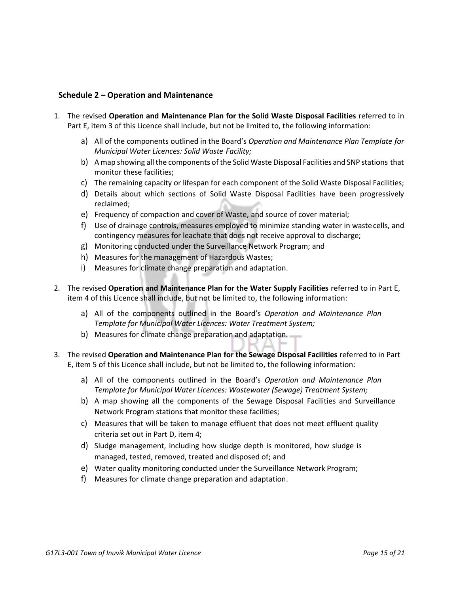# **Schedule 2 – Operation and Maintenance**

- 1. The revised **Operation and Maintenance Plan for the Solid Waste Disposal Facilities** referred to in Part E, item 3 of this Licence shall include, but not be limited to, the following information:
	- a) All of the components outlined in the Board's *Operation and Maintenance Plan Template for Municipal Water Licences: Solid Waste Facility;*
	- b) A map showing all the components of the Solid Waste Disposal Facilities and SNP stations that monitor these facilities;
	- c) The remaining capacity or lifespan for each component of the Solid Waste Disposal Facilities;
	- d) Details about which sections of Solid Waste Disposal Facilities have been progressively reclaimed;
	- e) Frequency of compaction and cover of Waste, and source of cover material;
	- f) Use of drainage controls, measures employed to minimize standing water in wastecells, and contingency measures for leachate that does not receive approval to discharge;
	- g) Monitoring conducted under the Surveillance Network Program; and
	- h) Measures for the management of Hazardous Wastes;
	- i) Measures for climate change preparation and adaptation.
- 2. The revised **Operation and Maintenance Plan for the Water Supply Facilities** referred to in Part E, item 4 of this Licence shall include, but not be limited to, the following information:
	- a) All of the components outlined in the Board's *Operation and Maintenance Plan Template for Municipal Water Licences: Water Treatment System;*
	- b) Measures for climate change preparation and adaptation.
- 3. The revised **Operation and Maintenance Plan for the Sewage Disposal Facilities** referred to in Part E, item 5 of this Licence shall include, but not be limited to, the following information:
	- a) All of the components outlined in the Board's *Operation and Maintenance Plan Template for Municipal Water Licences: Wastewater (Sewage) Treatment System;*
	- b) A map showing all the components of the Sewage Disposal Facilities and Surveillance Network Program stations that monitor these facilities;
	- c) Measures that will be taken to manage effluent that does not meet effluent quality criteria set out in Part D, item 4;
	- d) Sludge management, including how sludge depth is monitored, how sludge is managed, tested, removed, treated and disposed of; and
	- e) Water quality monitoring conducted under the Surveillance Network Program;
	- f) Measures for climate change preparation and adaptation.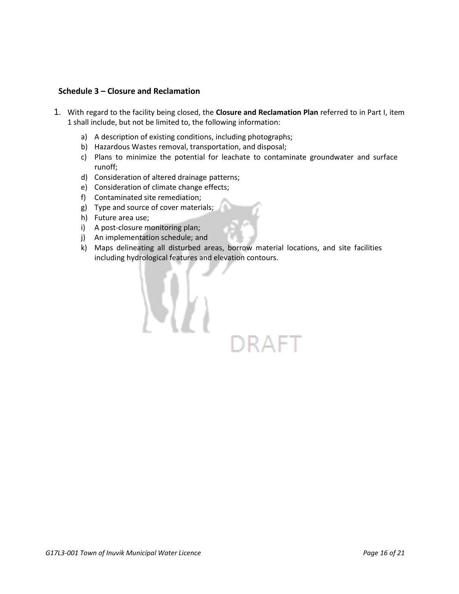# **Schedule 3 – Closure and Reclamation**

- 1. With regard to the facility being closed, the **Closure and Reclamation Plan** referred to in Part I, item 1 shall include, but not be limited to, the following information:
	- a) A description of existing conditions, including photographs;
	- b) Hazardous Wastes removal, transportation, and disposal;
	- c) Plans to minimize the potential for leachate to contaminate groundwater and surface runoff;
	- d) Consideration of altered drainage patterns;
	- e) Consideration of climate change effects;
	- f) Contaminated site remediation;
	- g) Type and source of cover materials;
	- h) Future area use;
	- i) A post-closure monitoring plan;
	- j) An implementation schedule; and
	- k) Maps delineating all disturbed areas, borrow material locations, and site facilities including hydrological features and elevation contours.

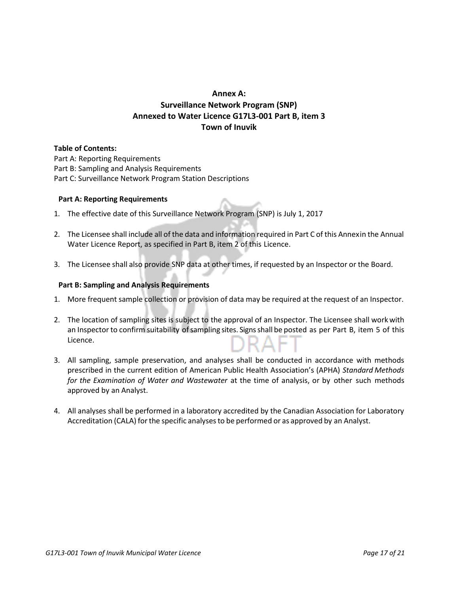# **Annex A: Surveillance Network Program (SNP) Annexed to Water Licence G17L3-001 Part B, item 3 Town of Inuvik**

#### **Table of Contents:**

Part A: Reporting Requirements Part B: Sampling and Analysis Requirements Part C: Surveillance Network Program Station Descriptions

#### **Part A: Reporting Requirements**

- 1. The effective date of this Surveillance Network Program (SNP) is July 1, 2017
- 2. The Licensee shall include all of the data and information required in Part C of this Annexin the Annual Water Licence Report, as specified in Part B, item 2 of this Licence.
- 3. The Licensee shall also provide SNP data at other times, if requested by an Inspector or the Board.

#### **Part B: Sampling and Analysis Requirements**

- 1. More frequent sample collection or provision of data may be required at the request of an Inspector.
- 2. The location of sampling sites is subject to the approval of an Inspector. The Licensee shall workwith an Inspector to confirm suitability of sampling sites. Signs shall be posted as per Part B, item 5 of this Licence.
- 3. All sampling, sample preservation, and analyses shall be conducted in accordance with methods prescribed in the current edition of American Public Health Association's (APHA) *Standard Methods for the Examination of Water and Wastewater* at the time of analysis, or by other such methods approved by an Analyst.
- 4. All analyses shall be performed in a laboratory accredited by the Canadian Association for Laboratory Accreditation (CALA) forthe specific analysesto be performed or as approved by an Analyst.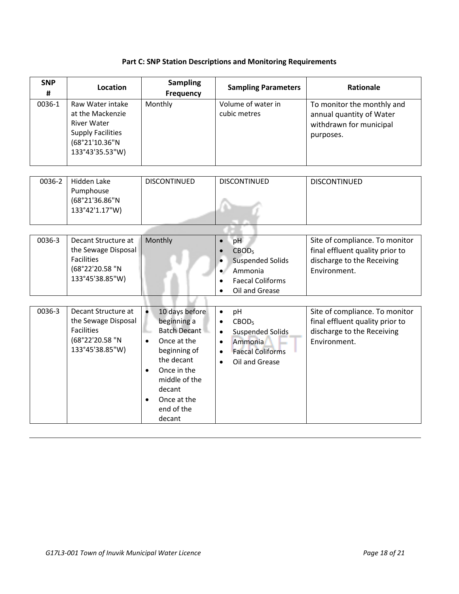# **Part C: SNP Station Descriptions and Monitoring Requirements**

| <b>SNP</b><br># | <b>Location</b>                                                                                                             | <b>Sampling</b><br><b>Frequency</b>                                                                                                                                                                                                    | <b>Sampling Parameters</b>                                                                                                                                                               | <b>Rationale</b>                                                                                                |
|-----------------|-----------------------------------------------------------------------------------------------------------------------------|----------------------------------------------------------------------------------------------------------------------------------------------------------------------------------------------------------------------------------------|------------------------------------------------------------------------------------------------------------------------------------------------------------------------------------------|-----------------------------------------------------------------------------------------------------------------|
| 0036-1          | Raw Water intake<br>at the Mackenzie<br><b>River Water</b><br><b>Supply Facilities</b><br>(68°21'10.36"N<br>133°43'35.53"W) | Monthly                                                                                                                                                                                                                                | Volume of water in<br>cubic metres                                                                                                                                                       | To monitor the monthly and<br>annual quantity of Water<br>withdrawn for municipal<br>purposes.                  |
| 0036-2          | Hidden Lake<br>Pumphouse<br>(68°21'36.86"N<br>133°42'1.17"W)                                                                | <b>DISCONTINUED</b>                                                                                                                                                                                                                    | <b>DISCONTINUED</b>                                                                                                                                                                      | <b>DISCONTINUED</b>                                                                                             |
| 0036-3          | Decant Structure at<br>the Sewage Disposal<br><b>Facilities</b><br>(68°22'20.58 "N<br>133°45'38.85"W)                       | Monthly                                                                                                                                                                                                                                | pH<br>$\bullet$<br>CBOD <sub>5</sub><br><b>Suspended Solids</b><br>$\bullet$<br>Ammonia<br>$\bullet$<br><b>Faecal Coliforms</b><br>$\bullet$<br>Oil and Grease<br>$\bullet$              | Site of compliance. To monitor<br>final effluent quality prior to<br>discharge to the Receiving<br>Environment. |
| 0036-3          | Decant Structure at<br>the Sewage Disposal<br><b>Facilities</b><br>(68°22'20.58 "N<br>133°45'38.85"W)                       | $\bullet$<br>10 days before<br>beginning a<br><b>Batch Decant</b><br>Once at the<br>$\bullet$<br>beginning of<br>the decant<br>Once in the<br>$\bullet$<br>middle of the<br>decant<br>Once at the<br>$\bullet$<br>end of the<br>decant | pH<br>$\bullet$<br>CBOD <sub>5</sub><br>$\bullet$<br><b>Suspended Solids</b><br>$\bullet$<br>Ammonia<br>$\bullet$<br><b>Faecal Coliforms</b><br>$\bullet$<br>Oil and Grease<br>$\bullet$ | Site of compliance. To monitor<br>final effluent quality prior to<br>discharge to the Receiving<br>Environment. |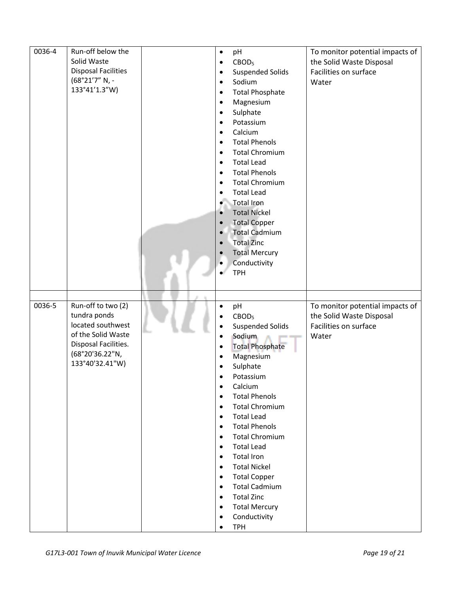| 0036-4 | Run-off below the                  | pH<br>$\bullet$                                      | To monitor potential impacts of |
|--------|------------------------------------|------------------------------------------------------|---------------------------------|
|        | Solid Waste                        | CBOD <sub>5</sub><br>$\bullet$                       | the Solid Waste Disposal        |
|        | <b>Disposal Facilities</b>         | <b>Suspended Solids</b><br>$\bullet$                 | Facilities on surface           |
|        | (68°21'7" N, -                     | Sodium<br>$\bullet$                                  | Water                           |
|        | 133°41'1.3"W)                      | <b>Total Phosphate</b>                               |                                 |
|        |                                    | $\bullet$                                            |                                 |
|        |                                    | Magnesium<br>$\bullet$                               |                                 |
|        |                                    | Sulphate<br>$\bullet$                                |                                 |
|        |                                    | Potassium<br>$\bullet$                               |                                 |
|        |                                    | Calcium<br>$\bullet$                                 |                                 |
|        |                                    | <b>Total Phenols</b><br>$\bullet$                    |                                 |
|        |                                    | <b>Total Chromium</b><br>$\bullet$                   |                                 |
|        |                                    | <b>Total Lead</b><br>$\bullet$                       |                                 |
|        |                                    | <b>Total Phenols</b><br>$\bullet$                    |                                 |
|        |                                    | <b>Total Chromium</b><br>$\bullet$                   |                                 |
|        |                                    | <b>Total Lead</b><br>$\bullet$                       |                                 |
|        |                                    | <b>Total Iron</b><br>$\bullet$                       |                                 |
|        |                                    | <b>Total Nickel</b><br>$\bullet$                     |                                 |
|        |                                    | <b>Total Copper</b>                                  |                                 |
|        |                                    | $\bullet$<br><b>Total Cadmium</b>                    |                                 |
|        |                                    | $\bullet$                                            |                                 |
|        |                                    | <b>Total Zinc</b><br>$\bullet$                       |                                 |
|        |                                    | <b>Total Mercury</b><br>$\bullet$                    |                                 |
|        |                                    | Conductivity<br>٠                                    |                                 |
|        |                                    | <b>TPH</b>                                           |                                 |
|        |                                    |                                                      |                                 |
|        |                                    |                                                      |                                 |
|        |                                    |                                                      |                                 |
| 0036-5 |                                    | $\bullet$                                            |                                 |
|        | Run-off to two (2)<br>tundra ponds | pH<br>$\bullet$                                      | To monitor potential impacts of |
|        | located southwest                  | CBOD <sub>5</sub><br>$\bullet$                       | the Solid Waste Disposal        |
|        | of the Solid Waste                 | <b>Suspended Solids</b>                              | Facilities on surface           |
|        |                                    | Sodium<br>$\bullet$                                  | Water                           |
|        | Disposal Facilities.               | <b>Total Phosphate</b><br>$\bullet$                  |                                 |
|        | (68°20'36.22"N,                    | Magnesium<br>$\bullet$                               |                                 |
|        | 133°40'32.41"W)                    | Sulphate<br>$\bullet$                                |                                 |
|        |                                    | Potassium<br>$\bullet$                               |                                 |
|        |                                    | Calcium<br>$\bullet$                                 |                                 |
|        |                                    | <b>Total Phenols</b><br>$\bullet$                    |                                 |
|        |                                    | <b>Total Chromium</b><br>$\bullet$                   |                                 |
|        |                                    | <b>Total Lead</b><br>$\bullet$                       |                                 |
|        |                                    | <b>Total Phenols</b><br>$\bullet$                    |                                 |
|        |                                    | <b>Total Chromium</b><br>$\bullet$                   |                                 |
|        |                                    | <b>Total Lead</b><br>$\bullet$                       |                                 |
|        |                                    | <b>Total Iron</b><br>$\bullet$                       |                                 |
|        |                                    | <b>Total Nickel</b><br>$\bullet$                     |                                 |
|        |                                    | $\bullet$                                            |                                 |
|        |                                    | <b>Total Copper</b>                                  |                                 |
|        |                                    | <b>Total Cadmium</b><br>$\bullet$                    |                                 |
|        |                                    | <b>Total Zinc</b><br>$\bullet$                       |                                 |
|        |                                    | <b>Total Mercury</b><br>$\bullet$                    |                                 |
|        |                                    | Conductivity<br>$\bullet$<br><b>TPH</b><br>$\bullet$ |                                 |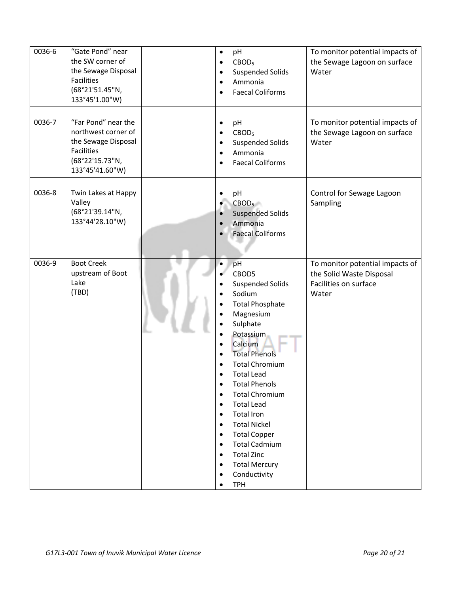| 0036-6 | "Gate Pond" near<br>the SW corner of<br>the Sewage Disposal<br>Facilities<br>(68°21'51.45"N,<br>133°45'1.00"W)        | pH<br>$\bullet$<br>CBOD <sub>5</sub><br>$\bullet$<br><b>Suspended Solids</b><br>$\bullet$<br>Ammonia<br>$\bullet$<br><b>Faecal Coliforms</b><br>$\bullet$                                                                                                                                                                                                                                                                                                                                                                                                                                                                                                                               | To monitor potential impacts of<br>the Sewage Lagoon on surface<br>Water                      |
|--------|-----------------------------------------------------------------------------------------------------------------------|-----------------------------------------------------------------------------------------------------------------------------------------------------------------------------------------------------------------------------------------------------------------------------------------------------------------------------------------------------------------------------------------------------------------------------------------------------------------------------------------------------------------------------------------------------------------------------------------------------------------------------------------------------------------------------------------|-----------------------------------------------------------------------------------------------|
| 0036-7 | "Far Pond" near the<br>northwest corner of<br>the Sewage Disposal<br>Facilities<br>(68°22'15.73"N,<br>133°45'41.60"W) | pH<br>$\bullet$<br>CBOD <sub>5</sub><br>$\bullet$<br><b>Suspended Solids</b><br>$\bullet$<br>Ammonia<br>$\bullet$<br><b>Faecal Coliforms</b><br>$\bullet$                                                                                                                                                                                                                                                                                                                                                                                                                                                                                                                               | To monitor potential impacts of<br>the Sewage Lagoon on surface<br>Water                      |
| 0036-8 | Twin Lakes at Happy<br>Valley<br>(68°21'39.14"N,<br>133°44'28.10"W)                                                   | pH<br>$\bullet$<br>CBOD <sub>5</sub><br><b>Suspended Solids</b><br>$\bullet$<br>Ammonia<br><b>Faecal Coliforms</b>                                                                                                                                                                                                                                                                                                                                                                                                                                                                                                                                                                      | Control for Sewage Lagoon<br>Sampling                                                         |
| 0036-9 | <b>Boot Creek</b><br>upstream of Boot<br>Lake<br>(TBD)                                                                | pH<br>$\bullet$<br>CBOD5<br><b>Suspended Solids</b><br>$\bullet$<br>Sodium<br><b>Total Phosphate</b><br>Magnesium<br>Sulphate<br>Potassium<br>$\bullet$<br>Calcium<br>$\bullet$<br><b>Total Phenols</b><br>$\bullet$<br><b>Total Chromium</b><br>$\bullet$<br><b>Total Lead</b><br>$\bullet$<br><b>Total Phenols</b><br>$\bullet$<br><b>Total Chromium</b><br>$\bullet$<br><b>Total Lead</b><br>$\bullet$<br><b>Total Iron</b><br>$\bullet$<br><b>Total Nickel</b><br>$\bullet$<br><b>Total Copper</b><br>$\bullet$<br><b>Total Cadmium</b><br>$\bullet$<br><b>Total Zinc</b><br>$\bullet$<br><b>Total Mercury</b><br>$\bullet$<br>Conductivity<br>$\bullet$<br><b>TPH</b><br>$\bullet$ | To monitor potential impacts of<br>the Solid Waste Disposal<br>Facilities on surface<br>Water |